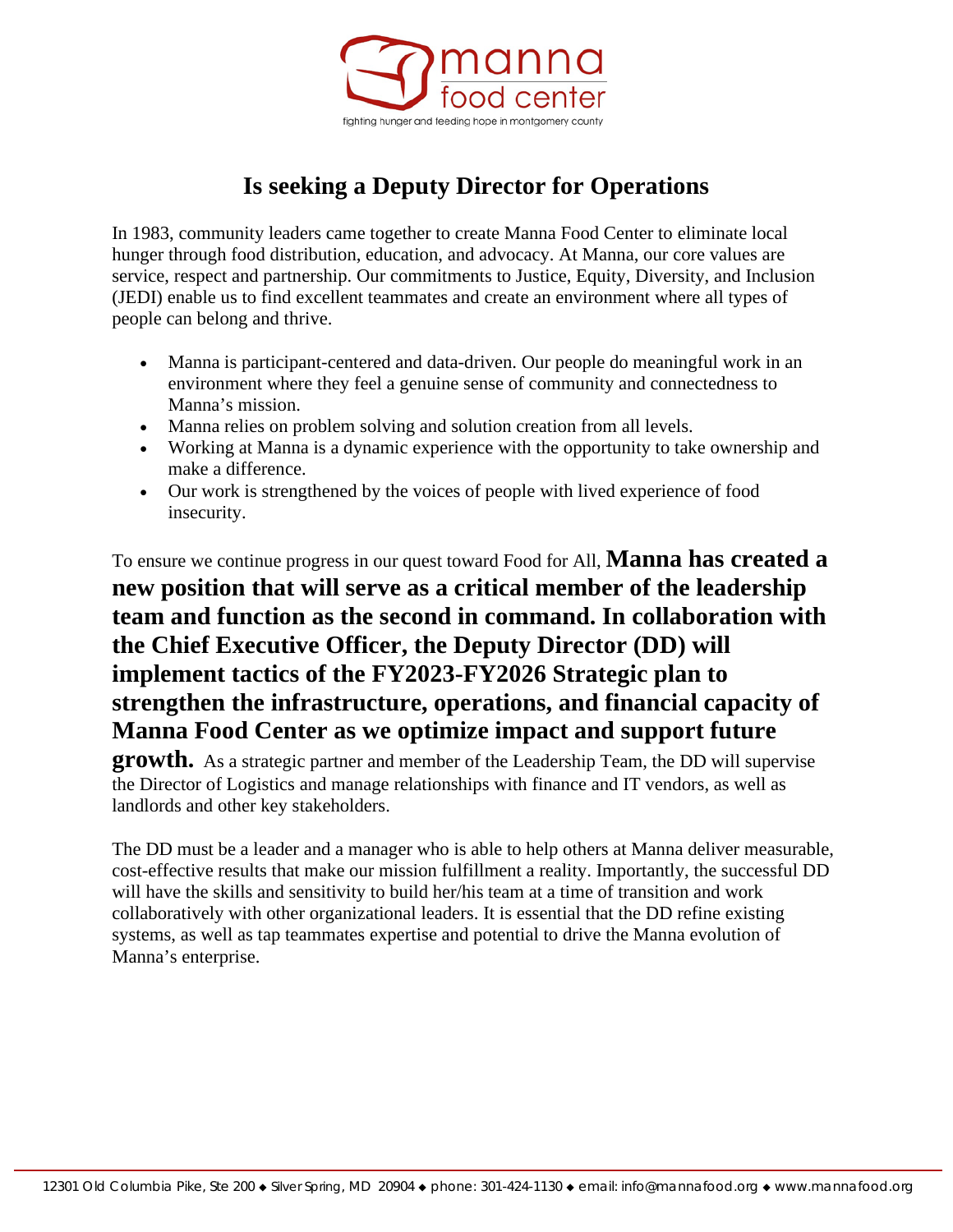

# **Is seeking a Deputy Director for Operations**

In 1983, community leaders came together to create Manna Food Center to eliminate local hunger through food distribution, education, and advocacy. At Manna, our core values are service, respect and partnership. Our commitments to Justice, Equity, Diversity, and Inclusion (JEDI) enable us to find excellent teammates and create an environment where all types of people can belong and thrive.

- Manna is participant-centered and data-driven. Our people do meaningful work in an environment where they feel a genuine sense of community and connectedness to Manna's mission.
- Manna relies on problem solving and solution creation from all levels.
- Working at Manna is a dynamic experience with the opportunity to take ownership and make a difference.
- Our work is strengthened by the voices of people with lived experience of food insecurity.

To ensure we continue progress in our quest toward Food for All, **Manna has created a new position that will serve as a critical member of the leadership team and function as the second in command. In collaboration with the Chief Executive Officer, the Deputy Director (DD) will implement tactics of the FY2023-FY2026 Strategic plan to strengthen the infrastructure, operations, and financial capacity of Manna Food Center as we optimize impact and support future** 

**growth.** As a strategic partner and member of the Leadership Team, the DD will supervise the Director of Logistics and manage relationships with finance and IT vendors, as well as landlords and other key stakeholders.

The DD must be a leader and a manager who is able to help others at Manna deliver measurable, cost-effective results that make our mission fulfillment a reality. Importantly, the successful DD will have the skills and sensitivity to build her/his team at a time of transition and work collaboratively with other organizational leaders. It is essential that the DD refine existing systems, as well as tap teammates expertise and potential to drive the Manna evolution of Manna's enterprise.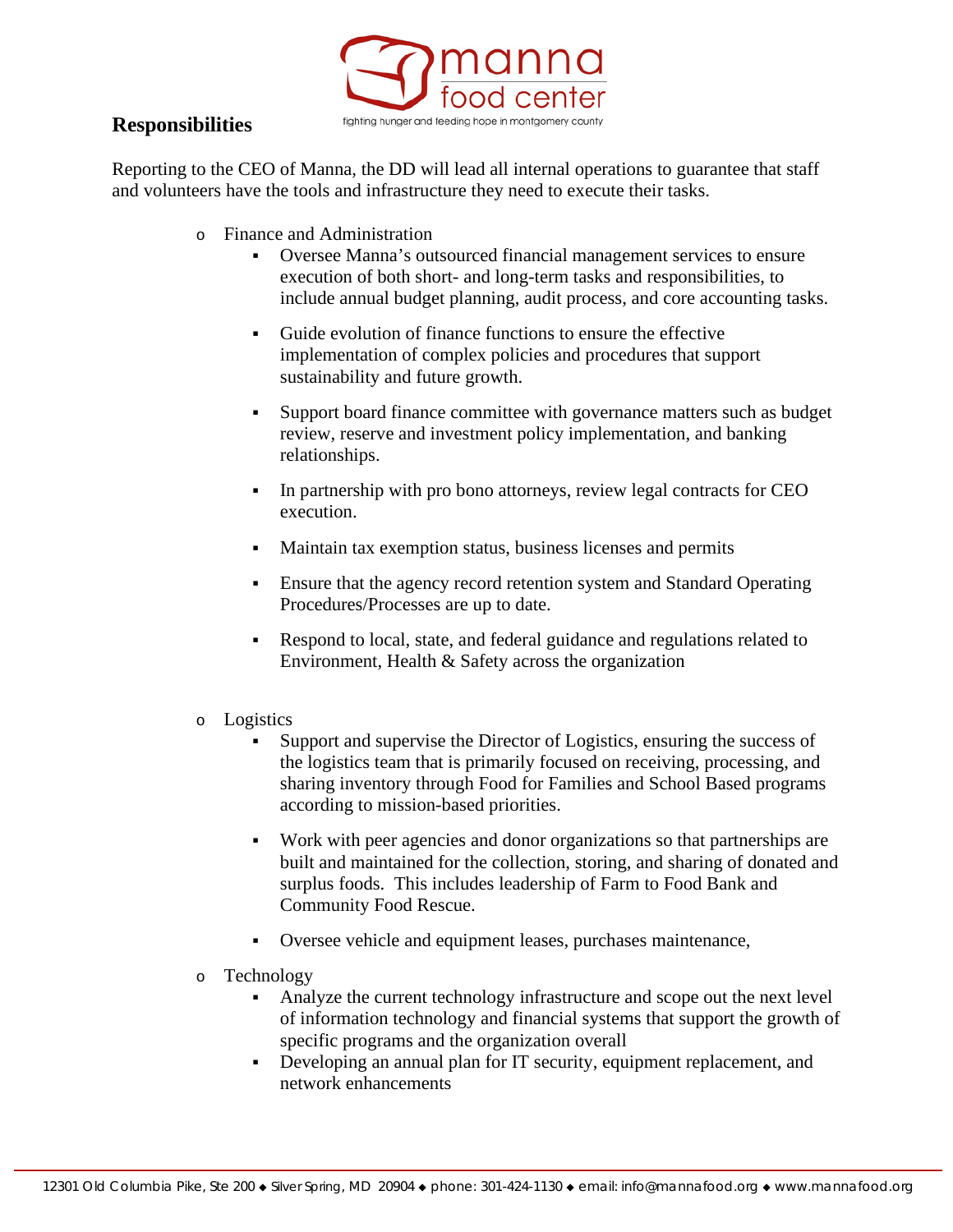### **Responsibilities**



Reporting to the CEO of Manna, the DD will lead all internal operations to guarantee that staff and volunteers have the tools and infrastructure they need to execute their tasks.

- o Finance and Administration
	- Oversee Manna's outsourced financial management services to ensure execution of both short- and long-term tasks and responsibilities, to include annual budget planning, audit process, and core accounting tasks.
	- Guide evolution of finance functions to ensure the effective implementation of complex policies and procedures that support sustainability and future growth.
	- Support board finance committee with governance matters such as budget review, reserve and investment policy implementation, and banking relationships.
	- In partnership with pro bono attorneys, review legal contracts for CEO execution.
	- Maintain tax exemption status, business licenses and permits
	- Ensure that the agency record retention system and Standard Operating Procedures/Processes are up to date.
	- Respond to local, state, and federal guidance and regulations related to Environment, Health & Safety across the organization
- o Logistics
	- Support and supervise the Director of Logistics, ensuring the success of the logistics team that is primarily focused on receiving, processing, and sharing inventory through Food for Families and School Based programs according to mission-based priorities.
	- Work with peer agencies and donor organizations so that partnerships are built and maintained for the collection, storing, and sharing of donated and surplus foods. This includes leadership of Farm to Food Bank and Community Food Rescue.
	- Oversee vehicle and equipment leases, purchases maintenance,
- o Technology
	- Analyze the current technology infrastructure and scope out the next level of information technology and financial systems that support the growth of specific programs and the organization overall
	- Developing an annual plan for IT security, equipment replacement, and network enhancements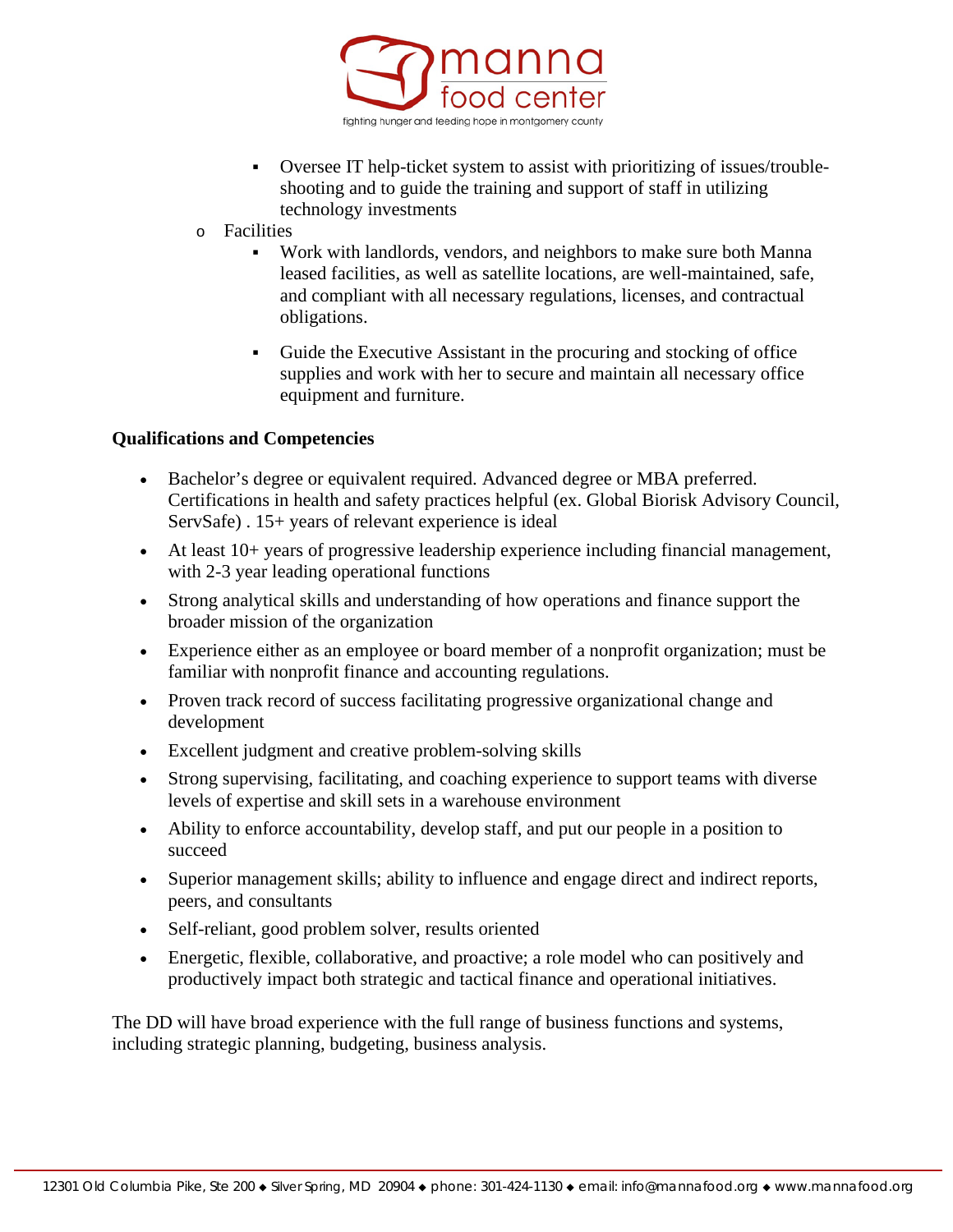

- Oversee IT help-ticket system to assist with prioritizing of issues/troubleshooting and to guide the training and support of staff in utilizing technology investments
- o Facilities
	- Work with landlords, vendors, and neighbors to make sure both Manna leased facilities, as well as satellite locations, are well-maintained, safe, and compliant with all necessary regulations, licenses, and contractual obligations.
	- Guide the Executive Assistant in the procuring and stocking of office supplies and work with her to secure and maintain all necessary office equipment and furniture.

#### **Qualifications and Competencies**

- Bachelor's degree or equivalent required. Advanced degree or MBA preferred. Certifications in health and safety practices helpful (ex. Global Biorisk Advisory Council, ServSafe) . 15+ years of relevant experience is ideal
- At least 10+ years of progressive leadership experience including financial management, with 2-3 year leading operational functions
- Strong analytical skills and understanding of how operations and finance support the broader mission of the organization
- Experience either as an employee or board member of a nonprofit organization; must be familiar with nonprofit finance and accounting regulations.
- Proven track record of success facilitating progressive organizational change and development
- Excellent judgment and creative problem-solving skills
- Strong supervising, facilitating, and coaching experience to support teams with diverse levels of expertise and skill sets in a warehouse environment
- Ability to enforce accountability, develop staff, and put our people in a position to succeed
- Superior management skills; ability to influence and engage direct and indirect reports, peers, and consultants
- Self-reliant, good problem solver, results oriented
- Energetic, flexible, collaborative, and proactive; a role model who can positively and productively impact both strategic and tactical finance and operational initiatives.

The DD will have broad experience with the full range of business functions and systems, including strategic planning, budgeting, business analysis.